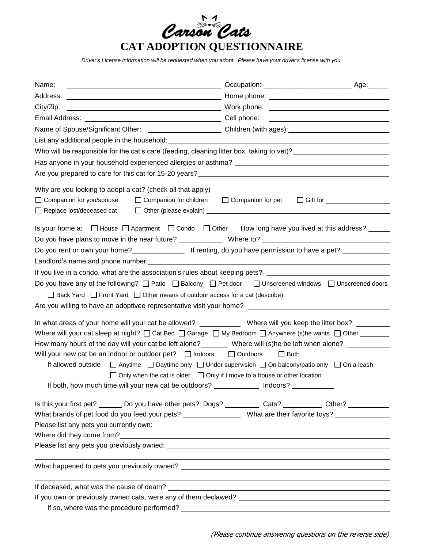

*Driver's License information will be requested when you adopt. Please have your driver's license with you.*

| Name:                                                                                                                                                                                                                          |                          |                               |  |
|--------------------------------------------------------------------------------------------------------------------------------------------------------------------------------------------------------------------------------|--------------------------|-------------------------------|--|
| Address:                                                                                                                                                                                                                       |                          |                               |  |
| City/Zip:                                                                                                                                                                                                                      |                          |                               |  |
|                                                                                                                                                                                                                                |                          |                               |  |
| Name of Spouse/Significant Other: _______________________________Children (with ages):_______________________                                                                                                                  |                          |                               |  |
| List any additional people in the household: example and a set of the set of the set of the set of the set of the set of the set of the set of the set of the set of the set of the set of the set of the set of the set of th |                          |                               |  |
| Who will be responsible for the cat's care (feeding, cleaning litter box, taking to vet)?<br><u>Universinating</u>                                                                                                             |                          |                               |  |
|                                                                                                                                                                                                                                |                          |                               |  |
| Are you prepared to care for this cat for 15-20 years?<br>Are you prepared to care for this cat for 15-20 years?                                                                                                               |                          |                               |  |
| Why are you looking to adopt a cat? (check all that apply)<br>□ Companion for you/spouse<br>$\Box$ Companion for children<br>$\Box$ Replace lost/deceased cat                                                                  | $\Box$ Companion for pet | □ Gift for __________________ |  |
| Is your home a: □ House □ Apartment □ Condo □ Other How long have you lived at this address? ____                                                                                                                              |                          |                               |  |
|                                                                                                                                                                                                                                |                          |                               |  |
|                                                                                                                                                                                                                                |                          |                               |  |
| If you live in a condo, what are the association's rules about keeping pets? _______________________                                                                                                                           |                          |                               |  |
| Do you have any of the following? $\Box$ Patio $\Box$ Balcony $\Box$ Pet door $\Box$ Unscreened windows $\Box$ Unscreened doors                                                                                                |                          |                               |  |
| □ Back Yard □ Front Yard □ Other means of outdoor access for a cat (describe):                                                                                                                                                 |                          |                               |  |
| Are you willing to have an adoptivee representative visit your home? _______________________________                                                                                                                           |                          |                               |  |
| In what areas of your home will your cat be allowed? _____________ Where will you keep the litter box? ______                                                                                                                  |                          |                               |  |
| Where will your cat sleep at night? $\Box$ Cat Bed $\Box$ Garage $\Box$ My Bedroom $\Box$ Anywhere (s)he wants $\Box$ Other _______                                                                                            |                          |                               |  |
| How many hours of the day will your cat be left alone?________ Where will (s)he be left when alone? _________                                                                                                                  |                          |                               |  |
| Will your new cat be an indoor or outdoor pet? $\Box$ Indoors $\Box$ Outdoors                                                                                                                                                  | $\Box$ Both              |                               |  |
| If allowed outside<br>$\Box$ Anytime $\Box$ Daytime only $\Box$ Under supervision $\Box$ On balcony/patio only $\Box$ On a leash                                                                                               |                          |                               |  |
| $\Box$ Only when the cat is older $\Box$ Only if I move to a house or other location                                                                                                                                           |                          |                               |  |
| If both, how much time will your new cat be outdoors? ______________ Indoors? _                                                                                                                                                |                          |                               |  |
| Is this your first pet? ________ Do you have other pets? Dogs? ___________ Cats? ____________ Other? ___________                                                                                                               |                          |                               |  |
| What brands of pet food do you feed your pets? ___________________ What are their favorite toys? ____________                                                                                                                  |                          |                               |  |
|                                                                                                                                                                                                                                |                          |                               |  |
|                                                                                                                                                                                                                                |                          |                               |  |
|                                                                                                                                                                                                                                |                          |                               |  |
|                                                                                                                                                                                                                                |                          |                               |  |
|                                                                                                                                                                                                                                |                          |                               |  |
|                                                                                                                                                                                                                                |                          |                               |  |
|                                                                                                                                                                                                                                |                          |                               |  |
|                                                                                                                                                                                                                                |                          |                               |  |